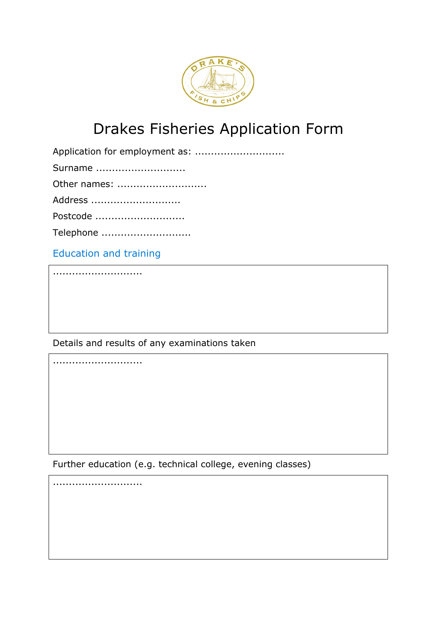

## Drakes Fisheries Application Form

Application for employment as: ..............................

Surname ............................

Other names: ............................

Address ............................

Postcode ............................

Telephone ............................

Education and training

............................

............................

Details and results of any examinations taken

Further education (e.g. technical college, evening classes)

............................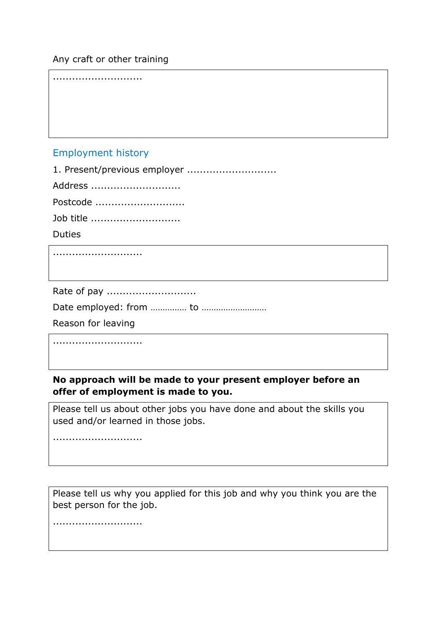## Any craft or other training

............................

## Employment history

1. Present/previous employer ..............................

Address ............................

Postcode ............................

Job title ............................

Duties

............................

Rate of pay ............................

Date employed: from …………… to ………………………

Reason for leaving

............................

## **No approach will be made to your present employer before an offer of employment is made to you.**

Please tell us about other jobs you have done and about the skills you used and/or learned in those jobs.

............................

Please tell us why you applied for this job and why you think you are the best person for the job.

............................